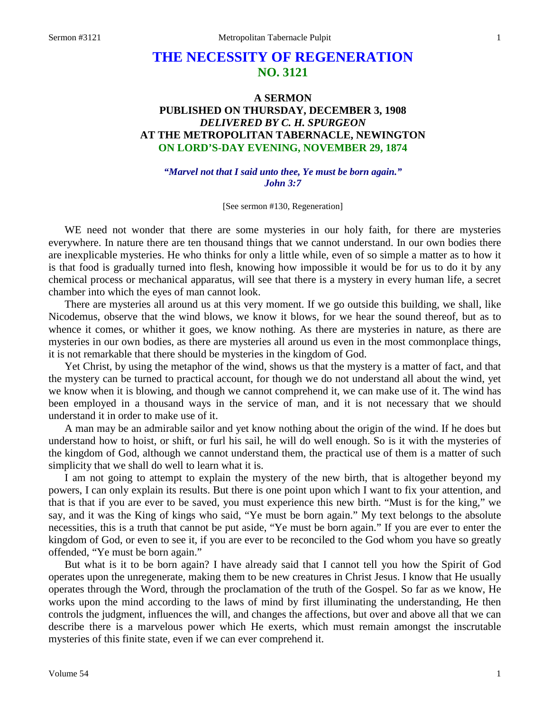## **THE NECESSITY OF REGENERATION NO. 3121**

## **A SERMON PUBLISHED ON THURSDAY, DECEMBER 3, 1908** *DELIVERED BY C. H. SPURGEON* **AT THE METROPOLITAN TABERNACLE, NEWINGTON ON LORD'S-DAY EVENING, NOVEMBER 29, 1874**

*"Marvel not that I said unto thee, Ye must be born again." John 3:7*

[See sermon #130, Regeneration]

WE need not wonder that there are some mysteries in our holy faith, for there are mysteries everywhere. In nature there are ten thousand things that we cannot understand. In our own bodies there are inexplicable mysteries. He who thinks for only a little while, even of so simple a matter as to how it is that food is gradually turned into flesh, knowing how impossible it would be for us to do it by any chemical process or mechanical apparatus, will see that there is a mystery in every human life, a secret chamber into which the eyes of man cannot look.

There are mysteries all around us at this very moment. If we go outside this building, we shall, like Nicodemus, observe that the wind blows, we know it blows, for we hear the sound thereof, but as to whence it comes, or whither it goes, we know nothing. As there are mysteries in nature, as there are mysteries in our own bodies, as there are mysteries all around us even in the most commonplace things, it is not remarkable that there should be mysteries in the kingdom of God.

Yet Christ, by using the metaphor of the wind, shows us that the mystery is a matter of fact, and that the mystery can be turned to practical account, for though we do not understand all about the wind, yet we know when it is blowing, and though we cannot comprehend it, we can make use of it. The wind has been employed in a thousand ways in the service of man, and it is not necessary that we should understand it in order to make use of it.

A man may be an admirable sailor and yet know nothing about the origin of the wind. If he does but understand how to hoist, or shift, or furl his sail, he will do well enough. So is it with the mysteries of the kingdom of God, although we cannot understand them, the practical use of them is a matter of such simplicity that we shall do well to learn what it is.

I am not going to attempt to explain the mystery of the new birth, that is altogether beyond my powers, I can only explain its results. But there is one point upon which I want to fix your attention, and that is that if you are ever to be saved, you must experience this new birth. "Must is for the king," we say, and it was the King of kings who said, "Ye must be born again." My text belongs to the absolute necessities, this is a truth that cannot be put aside, "Ye must be born again." If you are ever to enter the kingdom of God, or even to see it, if you are ever to be reconciled to the God whom you have so greatly offended, "Ye must be born again."

But what is it to be born again? I have already said that I cannot tell you how the Spirit of God operates upon the unregenerate, making them to be new creatures in Christ Jesus. I know that He usually operates through the Word, through the proclamation of the truth of the Gospel. So far as we know, He works upon the mind according to the laws of mind by first illuminating the understanding, He then controls the judgment, influences the will, and changes the affections, but over and above all that we can describe there is a marvelous power which He exerts, which must remain amongst the inscrutable mysteries of this finite state, even if we can ever comprehend it.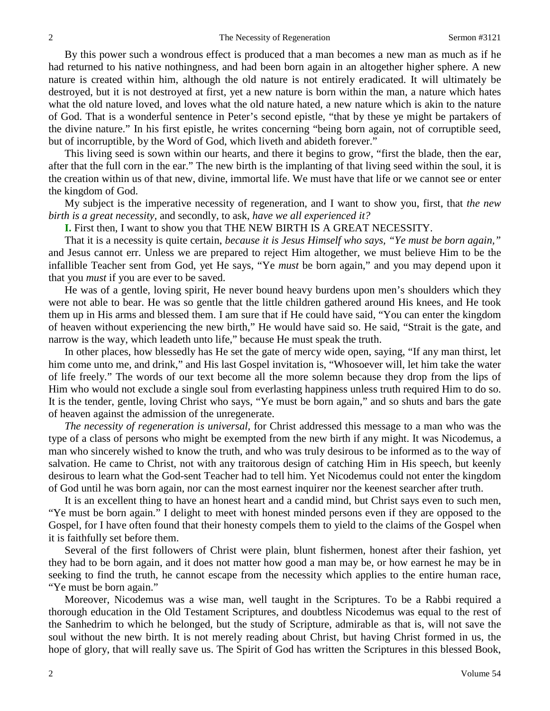By this power such a wondrous effect is produced that a man becomes a new man as much as if he had returned to his native nothingness, and had been born again in an altogether higher sphere. A new nature is created within him, although the old nature is not entirely eradicated. It will ultimately be destroyed, but it is not destroyed at first, yet a new nature is born within the man, a nature which hates what the old nature loved, and loves what the old nature hated, a new nature which is akin to the nature of God. That is a wonderful sentence in Peter's second epistle, "that by these ye might be partakers of the divine nature." In his first epistle, he writes concerning "being born again, not of corruptible seed, but of incorruptible, by the Word of God, which liveth and abideth forever."

This living seed is sown within our hearts, and there it begins to grow, "first the blade, then the ear, after that the full corn in the ear." The new birth is the implanting of that living seed within the soul, it is the creation within us of that new, divine, immortal life. We must have that life or we cannot see or enter the kingdom of God.

My subject is the imperative necessity of regeneration, and I want to show you, first, that *the new birth is a great necessity,* and secondly, to ask, *have we all experienced it?* 

**I.** First then, I want to show you that THE NEW BIRTH IS A GREAT NECESSITY.

That it is a necessity is quite certain, *because it is Jesus Himself who says, "Ye must be born again,"* and Jesus cannot err. Unless we are prepared to reject Him altogether, we must believe Him to be the infallible Teacher sent from God, yet He says, "Ye *must* be born again," and you may depend upon it that you *must* if you are ever to be saved.

He was of a gentle, loving spirit, He never bound heavy burdens upon men's shoulders which they were not able to bear. He was so gentle that the little children gathered around His knees, and He took them up in His arms and blessed them. I am sure that if He could have said, "You can enter the kingdom of heaven without experiencing the new birth," He would have said so. He said, "Strait is the gate, and narrow is the way, which leadeth unto life," because He must speak the truth.

In other places, how blessedly has He set the gate of mercy wide open, saying, "If any man thirst, let him come unto me, and drink," and His last Gospel invitation is, "Whosoever will, let him take the water of life freely." The words of our text become all the more solemn because they drop from the lips of Him who would not exclude a single soul from everlasting happiness unless truth required Him to do so. It is the tender, gentle, loving Christ who says, "Ye must be born again," and so shuts and bars the gate of heaven against the admission of the unregenerate.

*The necessity of regeneration is universal,* for Christ addressed this message to a man who was the type of a class of persons who might be exempted from the new birth if any might. It was Nicodemus, a man who sincerely wished to know the truth, and who was truly desirous to be informed as to the way of salvation. He came to Christ, not with any traitorous design of catching Him in His speech, but keenly desirous to learn what the God-sent Teacher had to tell him. Yet Nicodemus could not enter the kingdom of God until he was born again, nor can the most earnest inquirer nor the keenest searcher after truth.

It is an excellent thing to have an honest heart and a candid mind, but Christ says even to such men, "Ye must be born again." I delight to meet with honest minded persons even if they are opposed to the Gospel, for I have often found that their honesty compels them to yield to the claims of the Gospel when it is faithfully set before them.

Several of the first followers of Christ were plain, blunt fishermen, honest after their fashion, yet they had to be born again, and it does not matter how good a man may be, or how earnest he may be in seeking to find the truth, he cannot escape from the necessity which applies to the entire human race, "Ye must be born again."

Moreover, Nicodemus was a wise man, well taught in the Scriptures. To be a Rabbi required a thorough education in the Old Testament Scriptures, and doubtless Nicodemus was equal to the rest of the Sanhedrim to which he belonged, but the study of Scripture, admirable as that is, will not save the soul without the new birth. It is not merely reading about Christ, but having Christ formed in us, the hope of glory, that will really save us. The Spirit of God has written the Scriptures in this blessed Book,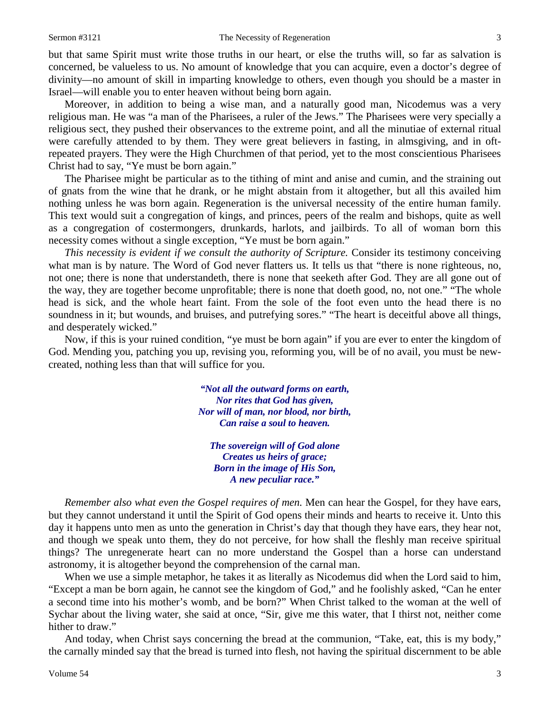but that same Spirit must write those truths in our heart, or else the truths will, so far as salvation is concerned, be valueless to us. No amount of knowledge that you can acquire, even a doctor's degree of divinity—no amount of skill in imparting knowledge to others, even though you should be a master in Israel—will enable you to enter heaven without being born again.

Moreover, in addition to being a wise man, and a naturally good man, Nicodemus was a very religious man. He was "a man of the Pharisees, a ruler of the Jews." The Pharisees were very specially a religious sect, they pushed their observances to the extreme point, and all the minutiae of external ritual were carefully attended to by them. They were great believers in fasting, in almsgiving, and in oftrepeated prayers. They were the High Churchmen of that period, yet to the most conscientious Pharisees Christ had to say, "Ye must be born again."

The Pharisee might be particular as to the tithing of mint and anise and cumin, and the straining out of gnats from the wine that he drank, or he might abstain from it altogether, but all this availed him nothing unless he was born again. Regeneration is the universal necessity of the entire human family. This text would suit a congregation of kings, and princes, peers of the realm and bishops, quite as well as a congregation of costermongers, drunkards, harlots, and jailbirds. To all of woman born this necessity comes without a single exception, "Ye must be born again."

*This necessity is evident if we consult the authority of Scripture.* Consider its testimony conceiving what man is by nature. The Word of God never flatters us. It tells us that "there is none righteous, no, not one; there is none that understandeth, there is none that seeketh after God. They are all gone out of the way, they are together become unprofitable; there is none that doeth good, no, not one." "The whole head is sick, and the whole heart faint. From the sole of the foot even unto the head there is no soundness in it; but wounds, and bruises, and putrefying sores." "The heart is deceitful above all things, and desperately wicked."

Now, if this is your ruined condition, "ye must be born again" if you are ever to enter the kingdom of God. Mending you, patching you up, revising you, reforming you, will be of no avail, you must be newcreated, nothing less than that will suffice for you.

> *"Not all the outward forms on earth, Nor rites that God has given, Nor will of man, nor blood, nor birth, Can raise a soul to heaven.*

*The sovereign will of God alone Creates us heirs of grace; Born in the image of His Son, A new peculiar race."*

*Remember also what even the Gospel requires of men.* Men can hear the Gospel, for they have ears, but they cannot understand it until the Spirit of God opens their minds and hearts to receive it. Unto this day it happens unto men as unto the generation in Christ's day that though they have ears, they hear not, and though we speak unto them, they do not perceive, for how shall the fleshly man receive spiritual things? The unregenerate heart can no more understand the Gospel than a horse can understand astronomy, it is altogether beyond the comprehension of the carnal man.

When we use a simple metaphor, he takes it as literally as Nicodemus did when the Lord said to him, "Except a man be born again, he cannot see the kingdom of God," and he foolishly asked, "Can he enter a second time into his mother's womb, and be born?" When Christ talked to the woman at the well of Sychar about the living water, she said at once, "Sir, give me this water, that I thirst not, neither come hither to draw."

And today, when Christ says concerning the bread at the communion, "Take, eat, this is my body," the carnally minded say that the bread is turned into flesh, not having the spiritual discernment to be able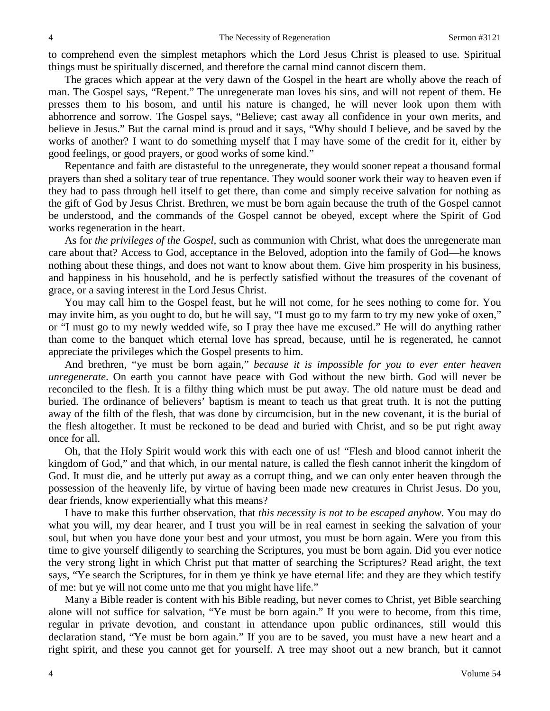to comprehend even the simplest metaphors which the Lord Jesus Christ is pleased to use. Spiritual things must be spiritually discerned, and therefore the carnal mind cannot discern them.

The graces which appear at the very dawn of the Gospel in the heart are wholly above the reach of man. The Gospel says, "Repent." The unregenerate man loves his sins, and will not repent of them. He presses them to his bosom, and until his nature is changed, he will never look upon them with abhorrence and sorrow. The Gospel says, "Believe; cast away all confidence in your own merits, and believe in Jesus." But the carnal mind is proud and it says, "Why should I believe, and be saved by the works of another? I want to do something myself that I may have some of the credit for it, either by good feelings, or good prayers, or good works of some kind."

Repentance and faith are distasteful to the unregenerate, they would sooner repeat a thousand formal prayers than shed a solitary tear of true repentance. They would sooner work their way to heaven even if they had to pass through hell itself to get there, than come and simply receive salvation for nothing as the gift of God by Jesus Christ. Brethren, we must be born again because the truth of the Gospel cannot be understood, and the commands of the Gospel cannot be obeyed, except where the Spirit of God works regeneration in the heart.

As for *the privileges of the Gospel,* such as communion with Christ, what does the unregenerate man care about that? Access to God, acceptance in the Beloved, adoption into the family of God—he knows nothing about these things, and does not want to know about them. Give him prosperity in his business, and happiness in his household, and he is perfectly satisfied without the treasures of the covenant of grace, or a saving interest in the Lord Jesus Christ.

You may call him to the Gospel feast, but he will not come, for he sees nothing to come for. You may invite him, as you ought to do, but he will say, "I must go to my farm to try my new yoke of oxen," or "I must go to my newly wedded wife, so I pray thee have me excused." He will do anything rather than come to the banquet which eternal love has spread, because, until he is regenerated, he cannot appreciate the privileges which the Gospel presents to him.

And brethren, "ye must be born again," *because it is impossible for you to ever enter heaven unregenerate*. On earth you cannot have peace with God without the new birth. God will never be reconciled to the flesh. It is a filthy thing which must be put away. The old nature must be dead and buried. The ordinance of believers' baptism is meant to teach us that great truth. It is not the putting away of the filth of the flesh, that was done by circumcision, but in the new covenant, it is the burial of the flesh altogether. It must be reckoned to be dead and buried with Christ, and so be put right away once for all.

Oh, that the Holy Spirit would work this with each one of us! "Flesh and blood cannot inherit the kingdom of God," and that which, in our mental nature, is called the flesh cannot inherit the kingdom of God. It must die, and be utterly put away as a corrupt thing, and we can only enter heaven through the possession of the heavenly life, by virtue of having been made new creatures in Christ Jesus. Do you, dear friends, know experientially what this means?

I have to make this further observation, that *this necessity is not to be escaped anyhow.* You may do what you will, my dear hearer, and I trust you will be in real earnest in seeking the salvation of your soul, but when you have done your best and your utmost, you must be born again. Were you from this time to give yourself diligently to searching the Scriptures, you must be born again. Did you ever notice the very strong light in which Christ put that matter of searching the Scriptures? Read aright, the text says, "Ye search the Scriptures, for in them ye think ye have eternal life: and they are they which testify of me: but ye will not come unto me that you might have life."

Many a Bible reader is content with his Bible reading, but never comes to Christ, yet Bible searching alone will not suffice for salvation, "Ye must be born again." If you were to become, from this time, regular in private devotion, and constant in attendance upon public ordinances, still would this declaration stand, "Ye must be born again." If you are to be saved, you must have a new heart and a right spirit, and these you cannot get for yourself. A tree may shoot out a new branch, but it cannot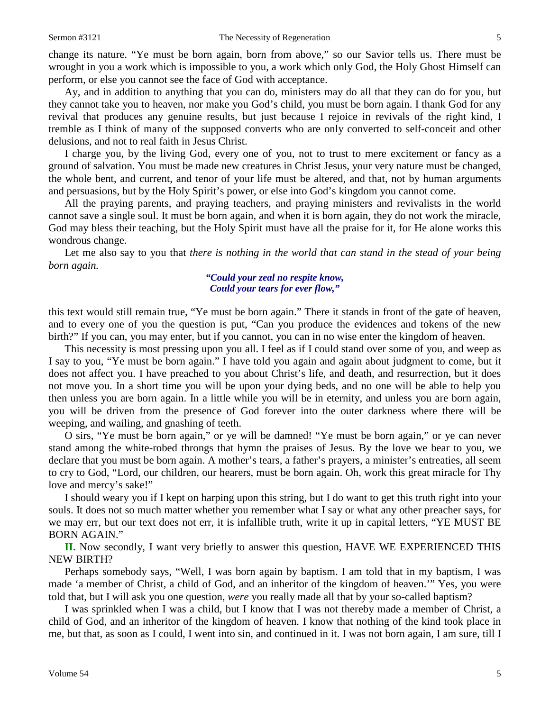change its nature. "Ye must be born again, born from above," so our Savior tells us. There must be wrought in you a work which is impossible to you, a work which only God, the Holy Ghost Himself can perform, or else you cannot see the face of God with acceptance.

Ay, and in addition to anything that you can do, ministers may do all that they can do for you, but they cannot take you to heaven, nor make you God's child, you must be born again. I thank God for any revival that produces any genuine results, but just because I rejoice in revivals of the right kind, I tremble as I think of many of the supposed converts who are only converted to self-conceit and other delusions, and not to real faith in Jesus Christ.

I charge you, by the living God, every one of you, not to trust to mere excitement or fancy as a ground of salvation. You must be made new creatures in Christ Jesus, your very nature must be changed, the whole bent, and current, and tenor of your life must be altered, and that, not by human arguments and persuasions, but by the Holy Spirit's power, or else into God's kingdom you cannot come.

All the praying parents, and praying teachers, and praying ministers and revivalists in the world cannot save a single soul. It must be born again, and when it is born again, they do not work the miracle, God may bless their teaching, but the Holy Spirit must have all the praise for it, for He alone works this wondrous change.

Let me also say to you that *there is nothing in the world that can stand in the stead of your being born again.*

## *"Could your zeal no respite know, Could your tears for ever flow,"*

this text would still remain true, "Ye must be born again." There it stands in front of the gate of heaven, and to every one of you the question is put, "Can you produce the evidences and tokens of the new birth?" If you can, you may enter, but if you cannot, you can in no wise enter the kingdom of heaven.

This necessity is most pressing upon you all. I feel as if I could stand over some of you, and weep as I say to you, "Ye must be born again." I have told you again and again about judgment to come, but it does not affect you. I have preached to you about Christ's life, and death, and resurrection, but it does not move you. In a short time you will be upon your dying beds, and no one will be able to help you then unless you are born again. In a little while you will be in eternity, and unless you are born again, you will be driven from the presence of God forever into the outer darkness where there will be weeping, and wailing, and gnashing of teeth.

O sirs, "Ye must be born again," or ye will be damned! "Ye must be born again," or ye can never stand among the white-robed throngs that hymn the praises of Jesus. By the love we bear to you, we declare that you must be born again. A mother's tears, a father's prayers, a minister's entreaties, all seem to cry to God, "Lord, our children, our hearers, must be born again. Oh, work this great miracle for Thy love and mercy's sake!"

I should weary you if I kept on harping upon this string, but I do want to get this truth right into your souls. It does not so much matter whether you remember what I say or what any other preacher says, for we may err, but our text does not err, it is infallible truth, write it up in capital letters, "YE MUST BE BORN AGAIN."

**II.** Now secondly, I want very briefly to answer this question, HAVE WE EXPERIENCED THIS NEW BIRTH?

Perhaps somebody says, "Well, I was born again by baptism. I am told that in my baptism, I was made 'a member of Christ, a child of God, and an inheritor of the kingdom of heaven.'" Yes, you were told that, but I will ask you one question, *were* you really made all that by your so-called baptism?

I was sprinkled when I was a child, but I know that I was not thereby made a member of Christ, a child of God, and an inheritor of the kingdom of heaven. I know that nothing of the kind took place in me, but that, as soon as I could, I went into sin, and continued in it. I was not born again, I am sure, till I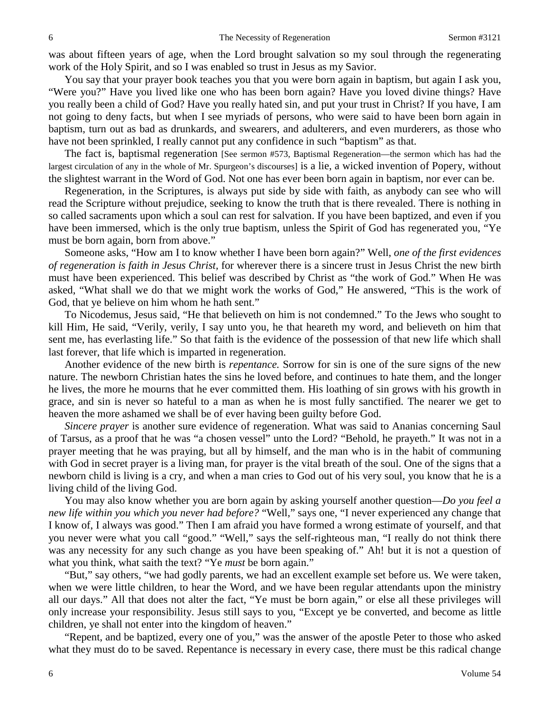was about fifteen years of age, when the Lord brought salvation so my soul through the regenerating work of the Holy Spirit, and so I was enabled so trust in Jesus as my Savior.

You say that your prayer book teaches you that you were born again in baptism, but again I ask you, "Were you?" Have you lived like one who has been born again? Have you loved divine things? Have you really been a child of God? Have you really hated sin, and put your trust in Christ? If you have, I am not going to deny facts, but when I see myriads of persons, who were said to have been born again in baptism, turn out as bad as drunkards, and swearers, and adulterers, and even murderers, as those who have not been sprinkled, I really cannot put any confidence in such "baptism" as that.

The fact is, baptismal regeneration [See sermon #573, Baptismal Regeneration—the sermon which has had the largest circulation of any in the whole of Mr. Spurgeon's discourses] is a lie, a wicked invention of Popery, without the slightest warrant in the Word of God. Not one has ever been born again in baptism, nor ever can be.

Regeneration, in the Scriptures, is always put side by side with faith, as anybody can see who will read the Scripture without prejudice, seeking to know the truth that is there revealed. There is nothing in so called sacraments upon which a soul can rest for salvation. If you have been baptized, and even if you have been immersed, which is the only true baptism, unless the Spirit of God has regenerated you, "Ye must be born again, born from above."

Someone asks, "How am I to know whether I have been born again?" Well, *one of the first evidences of regeneration is faith in Jesus Christ,* for wherever there is a sincere trust in Jesus Christ the new birth must have been experienced. This belief was described by Christ as "the work of God." When He was asked, "What shall we do that we might work the works of God," He answered, "This is the work of God, that ye believe on him whom he hath sent."

To Nicodemus, Jesus said, "He that believeth on him is not condemned." To the Jews who sought to kill Him, He said, "Verily, verily, I say unto you, he that heareth my word, and believeth on him that sent me, has everlasting life." So that faith is the evidence of the possession of that new life which shall last forever, that life which is imparted in regeneration.

Another evidence of the new birth is *repentance.* Sorrow for sin is one of the sure signs of the new nature. The newborn Christian hates the sins he loved before, and continues to hate them, and the longer he lives, the more he mourns that he ever committed them. His loathing of sin grows with his growth in grace, and sin is never so hateful to a man as when he is most fully sanctified. The nearer we get to heaven the more ashamed we shall be of ever having been guilty before God.

*Sincere prayer* is another sure evidence of regeneration. What was said to Ananias concerning Saul of Tarsus, as a proof that he was "a chosen vessel" unto the Lord? "Behold, he prayeth." It was not in a prayer meeting that he was praying, but all by himself, and the man who is in the habit of communing with God in secret prayer is a living man, for prayer is the vital breath of the soul. One of the signs that a newborn child is living is a cry, and when a man cries to God out of his very soul, you know that he is a living child of the living God.

You may also know whether you are born again by asking yourself another question—*Do you feel a new life within you which you never had before?* "Well," says one, "I never experienced any change that I know of, I always was good." Then I am afraid you have formed a wrong estimate of yourself, and that you never were what you call "good." "Well," says the self-righteous man, "I really do not think there was any necessity for any such change as you have been speaking of." Ah! but it is not a question of what you think, what saith the text? "Ye *must* be born again."

"But," say others, "we had godly parents, we had an excellent example set before us. We were taken, when we were little children, to hear the Word, and we have been regular attendants upon the ministry all our days." All that does not alter the fact, "Ye must be born again," or else all these privileges will only increase your responsibility. Jesus still says to you, "Except ye be converted, and become as little children, ye shall not enter into the kingdom of heaven."

"Repent, and be baptized, every one of you," was the answer of the apostle Peter to those who asked what they must do to be saved. Repentance is necessary in every case, there must be this radical change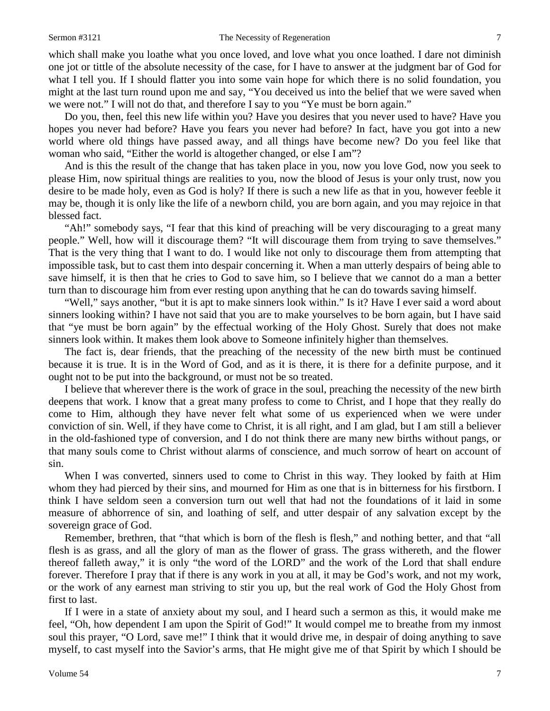which shall make you loathe what you once loved, and love what you once loathed. I dare not diminish one jot or tittle of the absolute necessity of the case, for I have to answer at the judgment bar of God for what I tell you. If I should flatter you into some vain hope for which there is no solid foundation, you might at the last turn round upon me and say, "You deceived us into the belief that we were saved when we were not." I will not do that, and therefore I say to you "Ye must be born again."

Do you, then, feel this new life within you? Have you desires that you never used to have? Have you hopes you never had before? Have you fears you never had before? In fact, have you got into a new world where old things have passed away, and all things have become new? Do you feel like that woman who said, "Either the world is altogether changed, or else I am"?

And is this the result of the change that has taken place in you, now you love God, now you seek to please Him, now spiritual things are realities to you, now the blood of Jesus is your only trust, now you desire to be made holy, even as God is holy? If there is such a new life as that in you, however feeble it may be, though it is only like the life of a newborn child, you are born again, and you may rejoice in that blessed fact.

"Ah!" somebody says, "I fear that this kind of preaching will be very discouraging to a great many people." Well, how will it discourage them? "It will discourage them from trying to save themselves." That is the very thing that I want to do. I would like not only to discourage them from attempting that impossible task, but to cast them into despair concerning it. When a man utterly despairs of being able to save himself, it is then that he cries to God to save him, so I believe that we cannot do a man a better turn than to discourage him from ever resting upon anything that he can do towards saving himself.

"Well," says another, "but it is apt to make sinners look within." Is it? Have I ever said a word about sinners looking within? I have not said that you are to make yourselves to be born again, but I have said that "ye must be born again" by the effectual working of the Holy Ghost. Surely that does not make sinners look within. It makes them look above to Someone infinitely higher than themselves.

The fact is, dear friends, that the preaching of the necessity of the new birth must be continued because it is true. It is in the Word of God, and as it is there, it is there for a definite purpose, and it ought not to be put into the background, or must not be so treated.

I believe that wherever there is the work of grace in the soul, preaching the necessity of the new birth deepens that work. I know that a great many profess to come to Christ, and I hope that they really do come to Him, although they have never felt what some of us experienced when we were under conviction of sin. Well, if they have come to Christ, it is all right, and I am glad, but I am still a believer in the old-fashioned type of conversion, and I do not think there are many new births without pangs, or that many souls come to Christ without alarms of conscience, and much sorrow of heart on account of sin.

When I was converted, sinners used to come to Christ in this way. They looked by faith at Him whom they had pierced by their sins, and mourned for Him as one that is in bitterness for his firstborn. I think I have seldom seen a conversion turn out well that had not the foundations of it laid in some measure of abhorrence of sin, and loathing of self, and utter despair of any salvation except by the sovereign grace of God.

Remember, brethren, that "that which is born of the flesh is flesh," and nothing better, and that "all flesh is as grass, and all the glory of man as the flower of grass. The grass withereth, and the flower thereof falleth away," it is only "the word of the LORD" and the work of the Lord that shall endure forever. Therefore I pray that if there is any work in you at all, it may be God's work, and not my work, or the work of any earnest man striving to stir you up, but the real work of God the Holy Ghost from first to last.

If I were in a state of anxiety about my soul, and I heard such a sermon as this, it would make me feel, "Oh, how dependent I am upon the Spirit of God!" It would compel me to breathe from my inmost soul this prayer, "O Lord, save me!" I think that it would drive me, in despair of doing anything to save myself, to cast myself into the Savior's arms, that He might give me of that Spirit by which I should be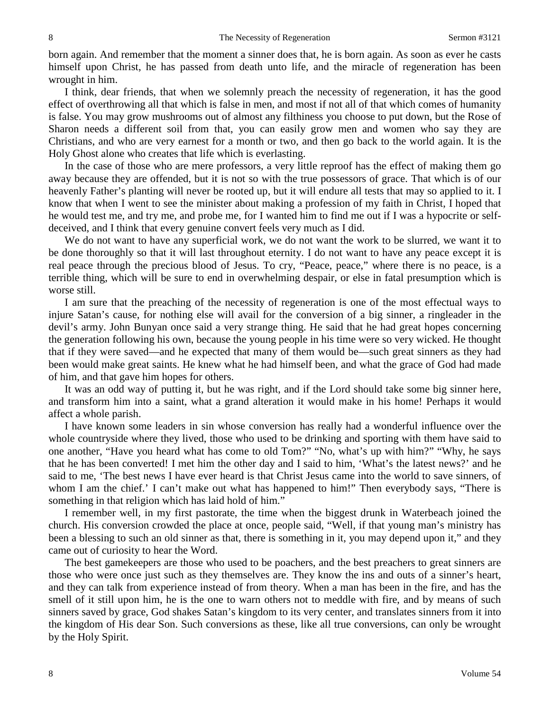born again. And remember that the moment a sinner does that, he is born again. As soon as ever he casts himself upon Christ, he has passed from death unto life, and the miracle of regeneration has been wrought in him.

I think, dear friends, that when we solemnly preach the necessity of regeneration, it has the good effect of overthrowing all that which is false in men, and most if not all of that which comes of humanity is false. You may grow mushrooms out of almost any filthiness you choose to put down, but the Rose of Sharon needs a different soil from that, you can easily grow men and women who say they are Christians, and who are very earnest for a month or two, and then go back to the world again. It is the Holy Ghost alone who creates that life which is everlasting.

In the case of those who are mere professors, a very little reproof has the effect of making them go away because they are offended, but it is not so with the true possessors of grace. That which is of our heavenly Father's planting will never be rooted up, but it will endure all tests that may so applied to it. I know that when I went to see the minister about making a profession of my faith in Christ, I hoped that he would test me, and try me, and probe me, for I wanted him to find me out if I was a hypocrite or selfdeceived, and I think that every genuine convert feels very much as I did.

We do not want to have any superficial work, we do not want the work to be slurred, we want it to be done thoroughly so that it will last throughout eternity. I do not want to have any peace except it is real peace through the precious blood of Jesus. To cry, "Peace, peace," where there is no peace, is a terrible thing, which will be sure to end in overwhelming despair, or else in fatal presumption which is worse still.

I am sure that the preaching of the necessity of regeneration is one of the most effectual ways to injure Satan's cause, for nothing else will avail for the conversion of a big sinner, a ringleader in the devil's army. John Bunyan once said a very strange thing. He said that he had great hopes concerning the generation following his own, because the young people in his time were so very wicked. He thought that if they were saved—and he expected that many of them would be—such great sinners as they had been would make great saints. He knew what he had himself been, and what the grace of God had made of him, and that gave him hopes for others.

It was an odd way of putting it, but he was right, and if the Lord should take some big sinner here, and transform him into a saint, what a grand alteration it would make in his home! Perhaps it would affect a whole parish.

I have known some leaders in sin whose conversion has really had a wonderful influence over the whole countryside where they lived, those who used to be drinking and sporting with them have said to one another, "Have you heard what has come to old Tom?" "No, what's up with him?" "Why, he says that he has been converted! I met him the other day and I said to him, 'What's the latest news?' and he said to me, 'The best news I have ever heard is that Christ Jesus came into the world to save sinners, of whom I am the chief.' I can't make out what has happened to him!" Then everybody says, "There is something in that religion which has laid hold of him."

I remember well, in my first pastorate, the time when the biggest drunk in Waterbeach joined the church. His conversion crowded the place at once, people said, "Well, if that young man's ministry has been a blessing to such an old sinner as that, there is something in it, you may depend upon it," and they came out of curiosity to hear the Word.

The best gamekeepers are those who used to be poachers, and the best preachers to great sinners are those who were once just such as they themselves are. They know the ins and outs of a sinner's heart, and they can talk from experience instead of from theory. When a man has been in the fire, and has the smell of it still upon him, he is the one to warn others not to meddle with fire, and by means of such sinners saved by grace, God shakes Satan's kingdom to its very center, and translates sinners from it into the kingdom of His dear Son. Such conversions as these, like all true conversions, can only be wrought by the Holy Spirit.